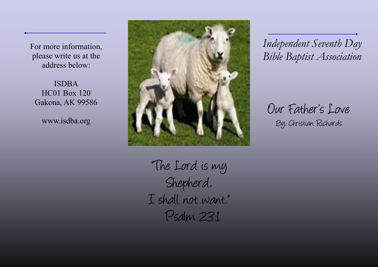For more information, please write us at the address below:

ISDBA HC01 Box 120 Gakona, AK 99586

www.isdba.org



 *Independent Seventh Day Bible Baptist Association*

Our Father's Love By: Christian Richards

"The Lord is my Shepherd, I shall not want." Psalm 23:1